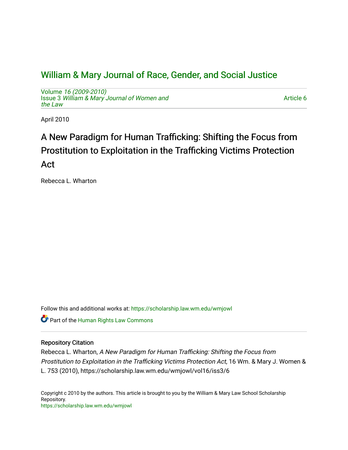# [William & Mary Journal of Race, Gender, and Social Justice](https://scholarship.law.wm.edu/wmjowl)

Volume [16 \(2009-2010\)](https://scholarship.law.wm.edu/wmjowl/vol16)  Issue 3 [William & Mary Journal of Women and](https://scholarship.law.wm.edu/wmjowl/vol16/iss3) [the Law](https://scholarship.law.wm.edu/wmjowl/vol16/iss3)

[Article 6](https://scholarship.law.wm.edu/wmjowl/vol16/iss3/6) 

April 2010

# A New Paradigm for Human Trafficking: Shifting the Focus from Prostitution to Exploitation in the Trafficking Victims Protection Act

Rebecca L. Wharton

Follow this and additional works at: [https://scholarship.law.wm.edu/wmjowl](https://scholarship.law.wm.edu/wmjowl?utm_source=scholarship.law.wm.edu%2Fwmjowl%2Fvol16%2Fiss3%2F6&utm_medium=PDF&utm_campaign=PDFCoverPages) 

Part of the [Human Rights Law Commons](http://network.bepress.com/hgg/discipline/847?utm_source=scholarship.law.wm.edu%2Fwmjowl%2Fvol16%2Fiss3%2F6&utm_medium=PDF&utm_campaign=PDFCoverPages) 

# Repository Citation

Rebecca L. Wharton, A New Paradigm for Human Trafficking: Shifting the Focus from Prostitution to Exploitation in the Trafficking Victims Protection Act, 16 Wm. & Mary J. Women & L. 753 (2010), https://scholarship.law.wm.edu/wmjowl/vol16/iss3/6

Copyright c 2010 by the authors. This article is brought to you by the William & Mary Law School Scholarship Repository. <https://scholarship.law.wm.edu/wmjowl>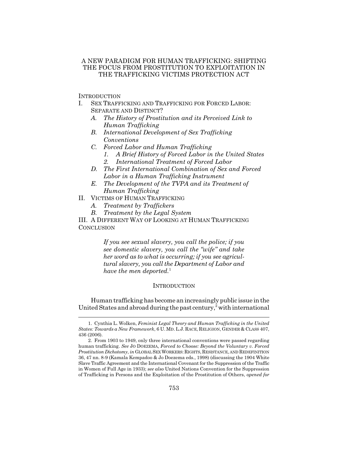## A NEW PARADIGM FOR HUMAN TRAFFICKING: SHIFTING THE FOCUS FROM PROSTITUTION TO EXPLOITATION IN THE TRAFFICKING VICTIMS PROTECTION ACT

**INTRODUCTION** 

- I. SEX TRAFFICKING AND TRAFFICKING FOR FORCED LABOR: SEPARATE AND DISTINCT?
	- *A. The History of Prostitution and its Perceived Link to Human Trafficking*
	- *B. International Development of Sex Trafficking Conventions*
	- *C. Forced Labor and Human Trafficking*
		- *1. A Brief History of Forced Labor in the United States*
		- *2. International Treatment of Forced Labor*
	- *D. The First International Combination of Sex and Forced Labor in a Human Trafficking Instrument*
	- *E. The Development of the TVPA and its Treatment of Human Trafficking*
- II. VICTIMS OF HUMAN TRAFFICKING
	- *A. Treatment by Traffickers*
	- *B. Treatment by the Legal System*

III. A DIFFERENT WAY OF LOOKING AT HUMAN TRAFFICKING **CONCLUSION** 

> *If you see sexual slavery, you call the police; if you see domestic slavery, you call the "wife" and take her word as to what is occurring; if you see agricultural slavery, you call the Department of Labor and have the men deported.*<sup>1</sup>

#### **INTRODUCTION**

Human trafficking has become an increasingly public issue in the United States and abroad during the past century,<sup>2</sup> with international

<sup>1.</sup> Cynthia L. Wolken, *Feminist Legal Theory and Human Trafficking in the United States: Towards a New Framework*, 6 U. MD.L.J. RACE, RELIGION, GENDER & CLASS 407, 436 (2006).

<sup>2.</sup> From 1903 to 1949, only three international conventions were passed regarding human trafficking. *See* JO DOEZEMA, *Forced to Choose: Beyond the Voluntary v. Forced Prostitution Dichotomy*, *in* GLOBAL SEX WORKERS:RIGHTS,RESISTANCE, AND REDEFINITION 36, 47 nn. 8-9 (Kamala Kempadoo & Jo Doezema eds., 1998) (discussing the 1904 White Slave Traffic Agreement and the International Covenant for the Suppression of the Traffic in Women of Full Age in 1933); *see also* United Nations Convention for the Suppression of Trafficking in Persons and the Exploitation of the Prostitution of Others, *opened for*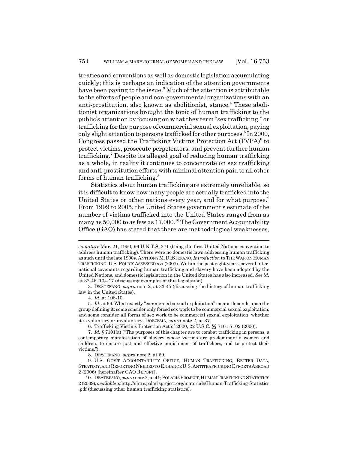treaties and conventions as well as domestic legislation accumulating quickly; this is perhaps an indication of the attention governments have been paying to the issue.<sup>3</sup> Much of the attention is attributable to the efforts of people and non-governmental organizations with an anti-prostitution, also known as abolitionist, stance.<sup>4</sup> These abolitionist organizations brought the topic of human trafficking to the public's attention by focusing on what they term "sex trafficking," or trafficking for the purpose of commercial sexual exploitation, paying only slight attention to persons trafficked for other purposes.<sup>5</sup> In 2000, Congress passed the Trafficking Victims Protection Act (TVPA)<sup>6</sup> to protect victims, prosecute perpetrators, and prevent further human trafficking.7 Despite its alleged goal of reducing human trafficking as a whole, in reality it continues to concentrate on sex trafficking and anti-prostitution efforts with minimal attention paid to all other forms of human trafficking.<sup>8</sup>

Statistics about human trafficking are extremely unreliable, so it is difficult to know how many people are actually trafficked into the United States or other nations every year, and for what purpose.<sup>9</sup> From 1999 to 2005, the United States government's estimate of the number of victims trafficked into the United States ranged from as many as  $50,000$  to as few as  $17,000$ .<sup>10</sup> The Government Accountability Office (GAO) has stated that there are methodological weaknesses,

3. DESTEFANO, *supra* note 2, at 33-45 (discussing the history of human trafficking law in the United States).

6. Trafficking Victims Protection Act of 2000, 22 U.S.C. §§ 7101-7102 (2000).

*signature* Mar. 21, 1950, 96 U.N.T.S. 271 (being the first United Nations convention to address human trafficking). There were no domestic laws addressing human trafficking as such until the late 1990s. ANTHONY M.DESTEFANO, *Introduction* to THE WAR ON HUMAN TRAFFICKING: U.S. POLICY ASSESSED xvi (2007). Within the past eight years, several international covenants regarding human trafficking and slavery have been adopted by the United Nations, and domestic legislation in the United States has also increased. *See id.* at 32-46, 104-17 (discussing examples of this legislation).

<sup>4.</sup> *Id.* at 108-10.

<sup>5.</sup> *Id.* at 69. What exactly "commercial sexual exploitation" means depends upon the group defining it: some consider only forced sex work to be commercial sexual exploitation, and some consider all forms of sex work to be commercial sexual exploitation, whether it is voluntary or involuntary. DOEZEMA, *supra* note 2, at 37.

<sup>7.</sup> *Id.* § 7101(a) ("The purposes of this chapter are to combat trafficking in persons, a contemporary manifestation of slavery whose victims are predominantly women and children, to ensure just and effective punishment of traffickers, and to protect their victims.").

<sup>8.</sup> DESTEFANO, *supra* note 2, at 69.

<sup>9.</sup> U.S. GOV'T ACCOUNTABILITY OFFICE, HUMAN TRAFFICKING, BETTER DATA, STRATEGY, AND REPORTING NEEDED TO ENHANCE U.S.ANTITRAFFICKING EFFORTS ABROAD 2 (2006) [hereinafter GAO REPORT].

<sup>10.</sup> DESTEFANO, *supra* note 2, at 41; POLARIS PROJECT,HUMAN TRAFFICKING STATISTICS 2 (2009), *available at* http://nhtrc.polarisproject.org/materials/Human-Trafficking-Statistics .pdf (discussing other human trafficking statistics).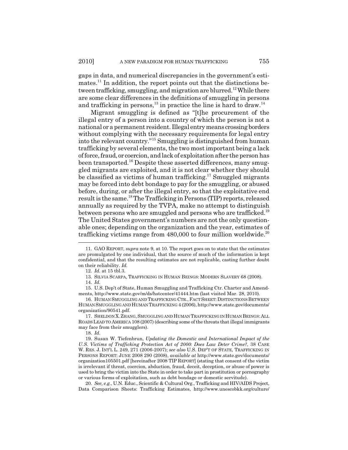gaps in data, and numerical discrepancies in the government's estimates.<sup>11</sup> In addition, the report points out that the distinctions between trafficking, smuggling, and migration are blurred.<sup>12</sup> While there are some clear differences in the definitions of smuggling in persons and trafficking in persons,<sup>13</sup> in practice the line is hard to draw.<sup>14</sup>

Migrant smuggling is defined as "[t]he procurement of the illegal entry of a person into a country of which the person is not a national or a permanent resident. Illegal entry means crossing borders without complying with the necessary requirements for legal entry into the relevant country."15 Smuggling is distinguished from human trafficking by several elements, the two most important being a lack of force, fraud, or coercion, and lack of exploitation after the person has been transported.<sup>16</sup> Despite these asserted differences, many smuggled migrants are exploited, and it is not clear whether they should be classified as victims of human trafficking.<sup>17</sup> Smuggled migrants may be forced into debt bondage to pay for the smuggling, or abused before, during, or after the illegal entry, so that the exploitative end result is the same.<sup>18</sup> The Trafficking in Persons (TIP) reports, released annually as required by the TVPA, make no attempt to distinguish between persons who are smuggled and persons who are trafficked.<sup>19</sup> The United States government's numbers are not the only questionable ones; depending on the organization and the year, estimates of trafficking victims range from  $480,000$  to four million worldwide.<sup>20</sup>

13. SILVIA SCARPA, TRAFFICKING IN HUMAN BEINGS: MODERN SLAVERY 68 (2008).

18. *Id.*

19. Susan W. Tiefenbrun, *Updating the Domestic and International Impact of the U.S. Victims of Trafficking Protection Act of 2000: Does Law Deter Crime?*, 38 CASE W. RES. J. INT'L L. 249, 271 (2006-2007); *see also* U.S. DEP'T OF STATE, TRAFFICKING IN PERSONS REPORT: JUNE 2008 290 (2008), *available at* http://www.state.gov/documents/ organization105501.pdf [hereinafter 2008 TIP REPORT] (stating that consent of the victim is irrelevant if threat, coercion, abduction, fraud, deceit, deception, or abuse of power is used to bring the victim into the State in order to take part in prostitution or pornography or various forms of exploitation, such as debt bondage or domestic servitude).

20. *See, e.g.*, U.N. Educ., Scientific & Cultural Org., Trafficking and HIV/AIDS Project, Data Comparison Sheets: Trafficking Estimates, http://www.unescobkk.org/culture/

<sup>11.</sup> GAO REPORT, *supra* note 9, at 10. The report goes on to state that the estimates are promulgated by one individual, that the source of much of the information is kept confidential, and that the resulting estimates are not replicable, casting further doubt on their reliability. *Id.*

<sup>12.</sup> *Id.* at 15 tbl.3.

<sup>14.</sup> *Id.*

<sup>15.</sup> U.S. Dep't of State, Human Smuggling and Trafficking Ctr. Charter and Amendments, http://www.state.gov/m/ds/hstcenter/41444.htm (last visited Mar. 28, 2010).

<sup>16.</sup> HUMAN SMUGGLING AND TRAFFICKING CTR.,FACT SHEET:DISTINCTIONS BETWEEN HUMAN SMUGGLING AND HUMAN TRAFFICKING 4 (2006), http://www.state.gov/documents/ organization/90541.pdf.

<sup>17.</sup> SHELDON X.ZHANG,SMUGGLING AND HUMAN TRAFFICKING IN HUMAN BEINGS:ALL ROADS LEAD TO AMERICA 108 (2007) (describing some of the threats that illegal immigrants may face from their smugglers).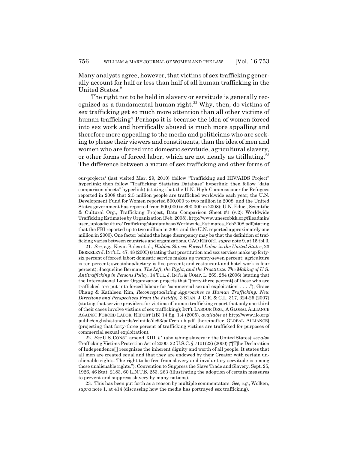Many analysts agree, however, that victims of sex trafficking generally account for half or less than half of all human trafficking in the United States.<sup>21</sup>

The right not to be held in slavery or servitude is generally recognized as a fundamental human right.<sup>22</sup> Why, then, do victims of sex trafficking get so much more attention than all other victims of human trafficking? Perhaps it is because the idea of women forced into sex work and horrifically abused is much more appalling and therefore more appealing to the media and politicians who are seeking to please their viewers and constituents, than the idea of men and women who are forced into domestic servitude, agricultural slavery, or other forms of forced labor, which are not nearly as titillating.<sup>23</sup> The difference between a victim of sex trafficking and other forms of

21. *See, e.g.*, Kevin Bales et al., *Hidden Slaves: Forced Labor in the United States*, 23 BERKELEY J. INT'L L. 47, 48 (2005) (stating that prostitution and sex services make up fortysix percent of forced labor; domestic service makes up twenty-seven percent; agriculture is ten percent; sweatshop/factory is five percent; and restaurant and hotel work is four percent); Jacqueline Berman, *The Left, the Right, and the Prostitute: The Making of U.S. Antitrafficking in Persons Policy*, 14 TUL. J. INT'L & COMP. L. 269, 284 (2006) (stating that the International Labor Organization projects that "[forty-three percent] of those who are trafficked are put into forced labour for 'commercial sexual exploitation' . . . ."); Grace Chang & Kathleen Kim, *Reconceptualizing Approaches to Human Trafficking: New Directions and Perspectives From the Field(s)*, 3 STAN. J. C.R. & C.L. 317, 324-25 (2007) (stating that service providers for victims of human trafficking report that only one-third of their cases involve victims of sex trafficking); INT'L LABOUR ORG., A GLOBAL ALLIANCE AGAINST FORCED LABOR, REPORT I(B) 14 fig. 1.4 (2005), *available at* http://www.ilo.org/ public/english/standards/relm/ilc/ilc93/pdf/rep-i-b.pdf [hereinafter GLOBAL ALLIANCE] (projecting that forty-three percent of trafficking victims are trafficked for purposes of commercial sexual exploitation).

22. *See* U.S.CONST.amend.XIII, § 1 (abolishing slavery in the United States); *see also* Trafficking Victims Protection Act of 2000, 22 U.S.C. § 7101(22) (2000) ("[T]he Declaration of Independence[ ] recognizes the inherent dignity and worth of all people. It states that all men are created equal and that they are endowed by their Creator with certain unalienable rights. The right to be free from slavery and involuntary servitude is among those unalienable rights."); Convention to Suppress the Slave Trade and Slavery, Sept. 25, 1926, 46 Stat. 2183, 60 L.N.T.S. 253, 263 (illustrating the adoption of certain measures to prevent and suppress slavery by many nations).

23. This has been put forth as a reason by multiple commentators. *See, e.g.*, Wolken, *supra* note 1, at 414 (discussing how the media has portrayed sex trafficking).

our-projects/ (last visited Mar. 29, 2010) (follow "Trafficking and HIV/AIDS Project" hyperlink; then follow "Trafficking Statistics Database" hyperlink; then follow "data comparison sheets" hyperlink) (stating that the U.N. High Commissioner for Refugees reported in 2008 that 2.5 million people are trafficked worldwide each year; the U.N. Development Fund for Women reported 500,000 to two million in 2008; and the United States government has reported from 600,000 to 800,000 in 2008); U.N. Educ., Scientific & Cultural Org., Trafficking Project, Data Comparison Sheet #1 (v.2): Worldwide Trafficking Estimates by Organization (Feb. 2008), http://www.unescobkk.org/fileadmin/ user\_upload/culture/Trafficking/statdatabase/Worldwide\_Estimates\_Feb2008.pdf(stating that the FBI reported up to two million in 2001 and the U.N. reported approximately one million in 2000). One factor behind the huge discrepancy may be that the definition of trafficking varies between countries and organizations. GAOREPORT, *supra* note 9, at 15 tbl.3.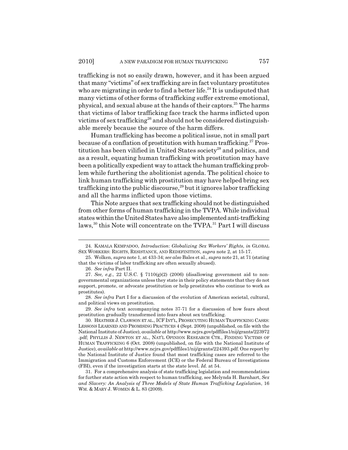trafficking is not so easily drawn, however, and it has been argued that many "victims" of sex trafficking are in fact voluntary prostitutes who are migrating in order to find a better life.<sup>24</sup> It is undisputed that many victims of other forms of trafficking suffer extreme emotional, physical, and sexual abuse at the hands of their captors.25 The harms that victims of labor trafficking face track the harms inflicted upon victims of sex trafficking<sup>26</sup> and should not be considered distinguishable merely because the source of the harm differs.

Human trafficking has become a political issue, not in small part because of a conflation of prostitution with human trafficking.<sup>27</sup> Prostitution has been vilified in United States society<sup>28</sup> and politics, and as a result, equating human trafficking with prostitution may have been a politically expedient way to attack the human trafficking problem while furthering the abolitionist agenda. The political choice to link human trafficking with prostitution may have helped bring sex trafficking into the public discourse,<sup>29</sup> but it ignores labor trafficking and all the harms inflicted upon those victims.

This Note argues that sex trafficking should not be distinguished from other forms of human trafficking in the TVPA. While individual states within the United States have also implemented anti-trafficking laws,<sup>30</sup> this Note will concentrate on the TVPA.<sup>31</sup> Part I will discuss

28. *See infra* Part I for a discussion of the evolution of American societal, cultural, and political views on prostitution.

29. *See infra* text accompanying notes 37-71 for a discussion of how fears about prostitution gradually transformed into fears about sex trafficking.

<sup>24.</sup> KAMALA KEMPADOO, *Introduction*: *Globalizing Sex Workers' Rights*, *in* GLOBAL SEX WORKERS: RIGHTS, RESISTANCE, AND REDEFINITION, *supra* note 2, at 15-17.

<sup>25.</sup> Wolken, *supra* note 1, at 433-34; *see also* Bales et al., *supra* note 21, at 71 (stating that the victims of labor trafficking are often sexually abused).

<sup>26.</sup> *See infra* Part II.

<sup>27.</sup> *See, e.g.*, 22 U.S.C. § 7110(g)(2) (2006) (disallowing government aid to nongovernmental organizations unless they state in their policy statements that they do not support, promote, or advocate prostitution or help prostitutes who continue to work as prostitutes).

<sup>30.</sup> HEATHER J. CLAWSON ET AL., ICF INT'L,PROSECUTING HUMAN TRAFFICKING CASES: LESSONS LEARNED AND PROMISING PRACTICES 4 (Sept. 2008) (unpublished, on file with the National Institute of Justice), *available at* http://www.ncjrs.gov/pdffiles1/nij/grants/223972 .pdf; PHYLLIS J. NEWTON ET AL., NAT'L OPINION RESEARCH CTR., FINDING VICTIMS OF HUMAN TRAFFICKING 6 (Oct. 2008) (unpublished, on file with the National Institute of Justice), *available at* http://www.ncjrs.gov/pdffiles1/nij/grants/224393.pdf. One report by the National Institute of Justice found that most trafficking cases are referred to the Immigration and Customs Enforcement (ICE) or the Federal Bureau of Investigations (FBI), even if the investigation starts at the state level. *Id.* at 54.

<sup>31.</sup> For a comprehensive analysis of state trafficking legislation and recommendations for further state action with respect to human trafficking, see Melynda H. Barnhart, *Sex and Slavery: An Analysis of Three Models of State Human Trafficking Legislation*, 16 WM. & MARY J. WOMEN & L. 83 (2009).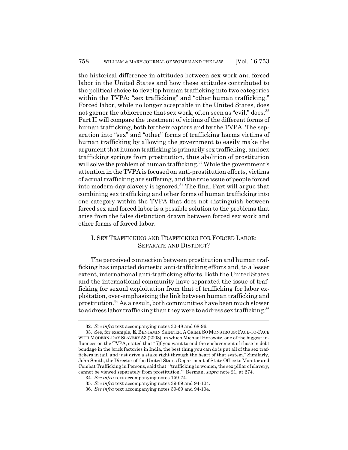the historical difference in attitudes between sex work and forced labor in the United States and how these attitudes contributed to the political choice to develop human trafficking into two categories within the TVPA: "sex trafficking" and "other human trafficking." Forced labor, while no longer acceptable in the United States, does not garner the abhorrence that sex work, often seen as "evil," does.<sup>32</sup> Part II will compare the treatment of victims of the different forms of human trafficking, both by their captors and by the TVPA. The separation into "sex" and "other" forms of trafficking harms victims of human trafficking by allowing the government to easily make the argument that human trafficking is primarily sex trafficking, and sex trafficking springs from prostitution, thus abolition of prostitution will solve the problem of human trafficking.<sup>33</sup> While the government's attention in the TVPA is focused on anti-prostitution efforts, victims of actual trafficking are suffering, and the true issue of people forced into modern-day slavery is ignored.<sup>34</sup> The final Part will argue that combining sex trafficking and other forms of human trafficking into one category within the TVPA that does not distinguish between forced sex and forced labor is a possible solution to the problems that arise from the false distinction drawn between forced sex work and other forms of forced labor.

# I. SEX TRAFFICKING AND TRAFFICKING FOR FORCED LABOR: SEPARATE AND DISTINCT?

The perceived connection between prostitution and human trafficking has impacted domestic anti-trafficking efforts and, to a lesser extent, international anti-trafficking efforts. Both the United States and the international community have separated the issue of trafficking for sexual exploitation from that of trafficking for labor exploitation, over-emphasizing the link between human trafficking and prostitution.35 As a result, both communities have been much slower to address labor trafficking than they were to address sex trafficking.<sup>36</sup>

<sup>32.</sup> *See infra* text accompanying notes 30-48 and 68-96.

<sup>33.</sup> See, for example, E. BENJAMIN SKINNER, A CRIME SO MONSTROUS: FACE-TO-FACE WITH MODERN-DAY SLAVERY 53 (2008), in which Michael Horowitz, one of the biggest influences on the TVPA, stated that "[i]f you want to end the enslavement of those in debt bondage in the brick factories in India, the best thing you can do is put all of the sex traffickers in jail, and just drive a stake right through the heart of that system." Similarly, John Smith, the Director of the United States Department of State Office to Monitor and Combat Trafficking in Persons, said that " 'trafficking in women, the sex pillar of slavery, cannot be viewed separately from prostitution.' " Berman, *supra* note 21, at 274.

<sup>34.</sup> *See infra* text accompanying notes 159-74.

<sup>35.</sup> *See infra* text accompanying notes 39-69 and 94-104.

<sup>36.</sup> *See infra* text accompanying notes 39-69 and 94-104.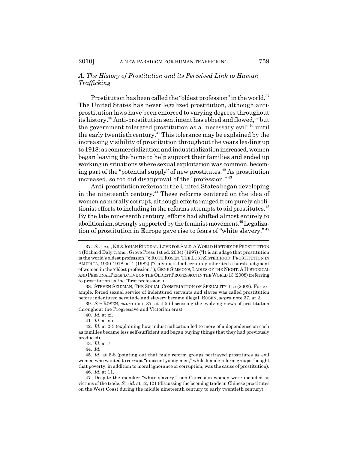# *A. The History of Prostitution and its Perceived Link to Human Trafficking*

Prostitution has been called the "oldest profession" in the world.<sup>37</sup> The United States has never legalized prostitution, although antiprostitution laws have been enforced to varying degrees throughout its history.<sup>38</sup> Anti-prostitution sentiment has ebbed and flowed,<sup>39</sup> but the government tolerated prostitution as a "necessary evil" 40 until the early twentieth century.41 This tolerance may be explained by the increasing visibility of prostitution throughout the years leading up to 1918: as commercialization and industrialization increased, women began leaving the home to help support their families and ended up working in situations where sexual exploitation was common, becoming part of the "potential supply" of new prostitutes. $42$  As prostitution increased, so too did disapproval of the "profession." <sup>43</sup>

Anti-prostitution reforms in the United States began developing in the nineteenth century.<sup>44</sup> These reforms centered on the idea of women as morally corrupt, although efforts ranged from purely abolitionist efforts to including in the reforms attempts to aid prostitutes.<sup>45</sup> By the late nineteenth century, efforts had shifted almost entirely to abolitionism, strongly supported by the feminist movement.<sup>46</sup> Legalization of prostitution in Europe gave rise to fears of "white slavery," <sup>47</sup>

<sup>37.</sup> *See, e.g.*, NILS JOHAN RINGDAL,LOVE FOR SALE:AWORLD HISTORY OF PROSTITUTION 4 (Richard Daly trans., Grove Press 1st ed. 2004) (1997) ("It is an adage that prostitution is the world's oldest profession."); RUTH ROSEN,THE LOST SISTERHOOD:PROSTITUTION IN AMERICA, 1900-1918, at 1 (1982) ("Calvinists had certainly inherited a harsh judgment of women in the 'oldest profession.'"); GENE SIMMONS, LADIES OF THE NIGHT: A HISTORICAL AND PERSONAL PERSPECTIVE ON THE OLDEST PROFESSION IN THE WORLD 13 (2008) (referring to prostitution as the "first profession").

<sup>38.</sup> STEVEN SEIDMAN, THE SOCIAL CONSTRUCTION OF SEXUALITY 115 (2003). For example, forced sexual service of indentured servants and slaves was called prostitution before indentured servitude and slavery became illegal. ROSEN, *supra* note 37, at 2.

<sup>39.</sup> *See* ROSEN, *supra* note 37, at 4-5 (discussing the evolving views of prostitution throughout the Progressive and Victorian eras).

<sup>40.</sup> *Id.* at xi.

<sup>41.</sup> *Id.* at xii.

<sup>42.</sup> *Id.* at 2-3 (explaining how industrialization led to more of a dependence on cash as families became less self-sufficient and began buying things that they had previously produced).

<sup>43.</sup> *Id.* at 7.

<sup>44.</sup> *Id.*

<sup>45.</sup> *Id.* at 6-8 (pointing out that male reform groups portrayed prostitutes as evil women who wanted to corrupt "innocent young men," while female reform groups thought that poverty, in addition to moral ignorance or corruption, was the cause of prostitution). 46. *Id.* at 11.

<sup>47.</sup> Despite the moniker "white slavery," non-Caucasian women were included as victims of the trade. *See id.* at 12, 121 (discussing the booming trade in Chinese prostitutes on the West Coast during the middle nineteenth century to early twentieth century).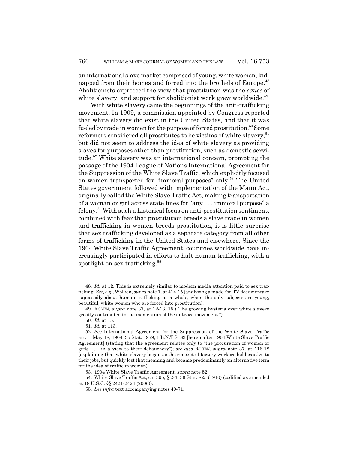an international slave market comprised of young, white women, kidnapped from their homes and forced into the brothels of Europe.<sup>48</sup> Abolitionists expressed the view that prostitution was the *cause* of white slavery, and support for abolitionist work grew worldwide.<sup>49</sup>

With white slavery came the beginnings of the anti-trafficking movement. In 1909, a commission appointed by Congress reported that white slavery did exist in the United States, and that it was fueled by trade in women for the purpose of forced prostitution.<sup>50</sup> Some reformers considered all prostitutes to be victims of white slavery,<sup>51</sup> but did not seem to address the idea of white slavery as providing slaves for purposes other than prostitution, such as domestic servitude.<sup>52</sup> White slavery was an international concern, prompting the passage of the 1904 League of Nations International Agreement for the Suppression of the White Slave Traffic, which explicitly focused on women transported for "immoral purposes" only.<sup>53</sup> The United States government followed with implementation of the Mann Act, originally called the White Slave Traffic Act, making transportation of a woman or girl across state lines for "any . . . immoral purpose" a  $felony.<sup>54</sup>$  With such a historical focus on anti-prostitution sentiment, combined with fear that prostitution breeds a slave trade in women and trafficking in women breeds prostitution, it is little surprise that sex trafficking developed as a separate category from all other forms of trafficking in the United States and elsewhere. Since the 1904 White Slave Traffic Agreement, countries worldwide have increasingly participated in efforts to halt human trafficking, with a spotlight on sex trafficking.<sup>55</sup>

<sup>48.</sup> *Id.* at 12. This is extremely similar to modern media attention paid to sex trafficking. *See, e.g.*, Wolken, *supra* note 1, at 414-15 (analyzing a made-for-TV documentary supposedly about human trafficking as a whole, when the only subjects are young, beautiful, white women who are forced into prostitution).

<sup>49.</sup> ROSEN, *supra* note 37, at 12-13, 15 ("The growing hysteria over white slavery greatly contributed to the momentum of the antivice movement.").

<sup>50.</sup> *Id.* at 15.

<sup>51.</sup> *Id.* at 113.

<sup>52.</sup> *See* International Agreement for the Suppression of the White Slave Traffic art. 1, May 18, 1904, 35 Stat. 1979, 1 L.N.T.S. 83 [hereinafter 1904 White Slave Traffic Agreement] (stating that the agreement relates only to "the procuration of women or girls . . . in a view to their debauchery"); *see also* ROSEN, *supra* note 37, at 116-18 (explaining that white slavery began as the concept of factory workers held captive to their jobs, but quickly lost that meaning and became predominantly an alternative term for the idea of traffic in women).

<sup>53. 1904</sup> White Slave Traffic Agreement, *supra* note 52.

<sup>54.</sup> White Slave Traffic Act, ch. 395, § 2-3, 36 Stat. 825 (1910) (codified as amended at 18 U.S.C. §§ 2421-2424 (2006)).

<sup>55.</sup> *See infra* text accompanying notes 49-71.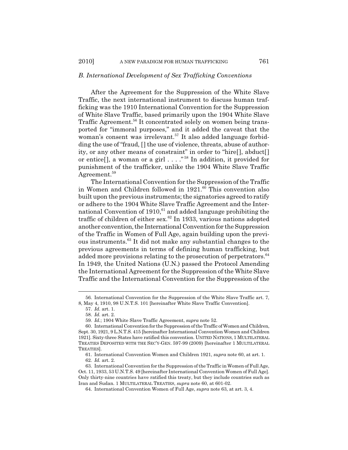#### *B. International Development of Sex Trafficking Conventions*

After the Agreement for the Suppression of the White Slave Traffic, the next international instrument to discuss human trafficking was the 1910 International Convention for the Suppression of White Slave Traffic, based primarily upon the 1904 White Slave Traffic Agreement.<sup>56</sup> It concentrated solely on women being transported for "immoral purposes," and it added the caveat that the woman's consent was irrelevant.<sup>57</sup> It also added language forbidding the use of "fraud, [] the use of violence, threats, abuse of authority, or any other means of constraint" in order to "hire[], abduct[] or entice[], a woman or a girl  $\dots$ ."<sup>58</sup> In addition, it provided for punishment of the trafficker, unlike the 1904 White Slave Traffic Agreement.<sup>59</sup>

The International Convention for the Suppression of the Traffic in Women and Children followed in  $1921$ .<sup>60</sup> This convention also built upon the previous instruments; the signatories agreed to ratify or adhere to the 1904 White Slave Traffic Agreement and the International Convention of 1910, $61$  and added language prohibiting the traffic of children of either sex. $^{62}$  In 1933, various nations adopted another convention, the International Convention for the Suppression of the Traffic in Women of Full Age, again building upon the previous instruments.63 It did not make any substantial changes to the previous agreements in terms of defining human trafficking, but added more provisions relating to the prosecution of perpetrators.<sup>64</sup> In 1949, the United Nations (U.N.) passed the Protocol Amending the International Agreement for the Suppression of the White Slave Traffic and the International Convention for the Suppression of the

<sup>56.</sup> International Convention for the Suppression of the White Slave Traffic art. 7, 8, May 4, 1910, 98 U.N.T.S. 101 [hereinafter White Slave Traffic Convention].

<sup>57.</sup> *Id.* art. 1.

<sup>58.</sup> *Id.* art. 2.

<sup>59.</sup> *Id.*; 1904 White Slave Traffic Agreement, *supra* note 52.

<sup>60.</sup> International Convention for the Suppression of the Traffic of Women and Children, Sept. 30, 1921, 9 L.N.T.S. 415 [hereinafter International Convention Women and Children 1921]. Sixty-three States have ratified this convention. UNITED NATIONS, 1 MULTILATERAL TREATIES DEPOSITED WITH THE SEC'Y-GEN. 597-99 (2009) [hereinafter 1 MULTILATERAL TREATIES].

<sup>61.</sup> International Convention Women and Children 1921, *supra* note 60, at art. 1. 62. *Id.* art. 2.

<sup>63.</sup> International Convention for the Suppression of the Traffic in Women of Full Age, Oct. 11, 1933, 53 U.N.T.S. 49 [hereinafter International Convention Women of Full Age]. Only thirty-nine countries have ratified this treaty, but they include countries such as Iran and Sudan. 1 MULTILATERAL TREATIES, *supra* note 60, at 601-02.

<sup>64.</sup> International Convention Women of Full Age, *supra* note 63, at art. 3, 4.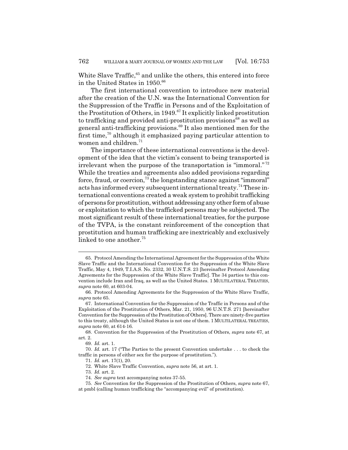White Slave Traffic,<sup>65</sup> and unlike the others, this entered into force in the United States in 1950.<sup>66</sup>

The first international convention to introduce new material after the creation of the U.N. was the International Convention for the Suppression of the Traffic in Persons and of the Exploitation of the Prostitution of Others, in 1949.<sup>67</sup> It explicitly linked prostitution to trafficking and provided anti-prostitution provisions<sup>68</sup> as well as general anti-trafficking provisions.<sup>69</sup> It also mentioned men for the first time, $70$  although it emphasized paying particular attention to women and children.<sup>71</sup>

The importance of these international conventions is the development of the idea that the victim's consent to being transported is irrelevant when the purpose of the transportation is "immoral." <sup>72</sup> While the treaties and agreements also added provisions regarding force, fraud, or coercion, $73$  the longstanding stance against "immoral" acts has informed every subsequent international treaty.<sup>74</sup> These international conventions created a weak system to prohibit trafficking of persons for prostitution, without addressing any other form of abuse or exploitation to which the trafficked persons may be subjected. The most significant result of these international treaties, for the purpose of the TVPA, is the constant reinforcement of the conception that prostitution and human trafficking are inextricably and exclusively linked to one another.<sup>75</sup>

<sup>65.</sup> Protocol Amending the International Agreement for the Suppression of the White Slave Traffic and the International Convention for the Suppression of the White Slave Traffic, May 4, 1949, T.I.A.S. No. 2332, 30 U.N.T.S. 23 [hereinafter Protocol Amending Agreements for the Suppression of the White Slave Traffic]. The 34 parties to this convention include Iran and Iraq, as well as the United States. 1 MULTILATERAL TREATIES, *supra* note 60, at 603-04.

<sup>66.</sup> Protocol Amending Agreements for the Suppression of the White Slave Traffic, *supra* note 65.

<sup>67.</sup> International Convention for the Suppression of the Traffic in Persons and of the Exploitation of the Prostitution of Others, Mar. 21, 1950, 96 U.N.T.S. 271 [hereinafter Convention for the Suppression of the Prostitution of Others]. There are ninety-five parties to this treaty, although the United States is not one of them. 1 MULTILATERAL TREATIES, *supra* note 60, at 614-16.

<sup>68.</sup> Convention for the Suppression of the Prostitution of Others, *supra* note 67, at art. 2.

<sup>69.</sup> *Id.* art. 1.

<sup>70.</sup> *Id.* art. 17 ("The Parties to the present Convention undertake . . . to check the traffic in persons of either sex for the purpose of prostitution.").

<sup>71.</sup> *Id.* art. 17(1), 20. 72. White Slave Traffic Convention, *supra* note 56, at art. 1.

<sup>73.</sup> *Id.* art. 2.

<sup>74.</sup> *See supra* text accompanying notes 37-55.

<sup>75.</sup> *See* Convention for the Suppression of the Prostitution of Others, *supra* note 67, at pmbl (calling human trafficking the "accompanying evil" of prostitution).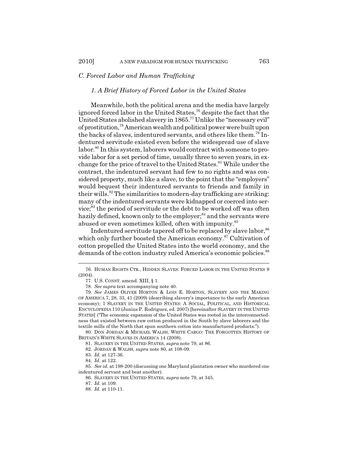# *C. Forced Labor and Human Trafficking*

#### *1. A Brief History of Forced Labor in the United States*

Meanwhile, both the political arena and the media have largely ignored forced labor in the United States,<sup>76</sup> despite the fact that the United States abolished slavery in 1865.77 Unlike the "necessary evil" of prostitution,78 American wealth and political power were built upon the backs of slaves, indentured servants, and others like them.79 Indentured servitude existed even before the widespread use of slave labor.<sup>80</sup> In this system, laborers would contract with someone to provide labor for a set period of time, usually three to seven years, in exchange for the price of travel to the United States.<sup>81</sup> While under the contract, the indentured servant had few to no rights and was considered property, much like a slave, to the point that the "employers" would bequest their indentured servants to friends and family in their wills.<sup>82</sup> The similarities to modern-day trafficking are striking: many of the indentured servants were kidnapped or coerced into service;83 the period of servitude or the debt to be worked off was often hazily defined, known only to the employer;<sup>84</sup> and the servants were abused or even sometimes killed, often with impunity.<sup>85</sup>

Indentured servitude tapered off to be replaced by slave labor,  $86$ which only further boosted the American economy.<sup>87</sup> Cultivation of cotton propelled the United States into the world economy, and the demands of the cotton industry ruled America's economic policies.<sup>88</sup>

80. DON JORDAN & MICHAEL WALSH, WHITE CARGO: THE FORGOTTEN HISTORY OF BRITAIN'S WHITE SLAVES IN AMERICA 14 (2008).

85. *See id.* at 198-200 (discussing one Maryland plantation owner who murdered one indentured servant and beat another).

<sup>76.</sup> HUMAN RIGHTS CTR., HIDDEN SLAVES: FORCED LABOR IN THE UNITED STATES 9 (2004).

<sup>77.</sup> U.S. CONST. amend. XIII, § 1.

<sup>78.</sup> *See supra* text accompanying note 40.

<sup>79.</sup> *See* JAMES OLIVER HORTON & LOIS E. HORTON, SLAVERY AND THE MAKING OF AMERICA 7, 28, 33, 41 (2009) (describing slavery's importance to the early American economy); 1 SLAVERY IN THE UNITED STATES: A SOCIAL, POLITICAL, AND HISTORICAL ENCYCLOPEDIA 110 (Junius P. Rodriguez, ed. 2007) [hereinafter SLAVERY IN THE UNITED STATES] ("The economic expansion of the United States was rooted in the interconnectedness that existed between raw cotton produced in the South by slave laborers and the textile mills of the North that spun southern cotton into manufactured products.").

<sup>81.</sup> SLAVERY IN THE UNITED STATES, *supra* note 79, at 86.

<sup>82.</sup> JORDAN & WALSH, *supra* note 80, at 108-09.

<sup>83.</sup> *Id.* at 127-36.

<sup>84.</sup> *Id.* at 122.

<sup>86.</sup> SLAVERY IN THE UNITED STATES, *supra* note 79, at 345.

<sup>87.</sup> *Id.* at 109.

<sup>88.</sup> *Id.* at 110-11.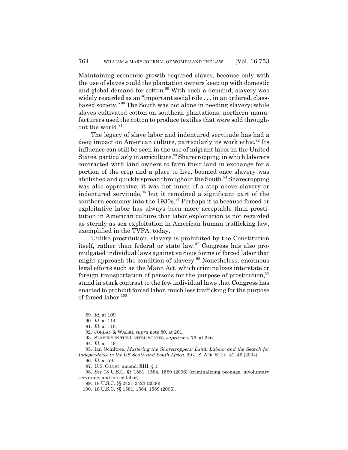Maintaining economic growth required slaves, because only with the use of slaves could the plantation owners keep up with domestic and global demand for cotton.<sup>89</sup> With such a demand, slavery was widely regarded as an "important social role . . . in an ordered, classbased society." 90 The South was not alone in needing slavery; while slaves cultivated cotton on southern plantations, northern manufacturers used the cotton to produce textiles that were sold throughout the world.<sup>91</sup>

The legacy of slave labor and indentured servitude has had a deep impact on American culture, particularly its work ethic.<sup>92</sup> Its influence can still be seen in the use of migrant labor in the United States, particularly in agriculture.<sup>93</sup> Sharecropping, in which laborers contracted with land owners to farm their land in exchange for a portion of the crop and a place to live, boomed once slavery was abolished and quickly spread throughout the South.<sup>94</sup> Sharecropping was also oppressive; it was not much of a step above slavery or indentured servitude, $95$  but it remained a significant part of the southern economy into the 1930s.<sup>96</sup> Perhaps it is because forced or exploitative labor has always been more acceptable than prostitution in American culture that labor exploitation is not regarded as sternly as sex exploitation in American human trafficking law, exemplified in the TVPA, today.

Unlike prostitution, slavery is prohibited by the Constitution itself, rather than federal or state law.<sup>97</sup> Congress has also promulgated individual laws against various forms of forced labor that might approach the condition of slavery.<sup>98</sup> Nonetheless, enormous legal efforts such as the Mann Act, which criminalizes interstate or foreign transportation of persons for the purpose of prostitution,<sup>99</sup> stand in stark contrast to the few individual laws that Congress has enacted to prohibit forced labor, much less trafficking for the purpose of forced labor.100

96. *Id.* at 59.

98. *See* 18 U.S.C. §§ 1581, 1584, 1589 (2006) (criminalizing peonage, involuntary servitude, and forced labor).

<sup>89.</sup> *Id.* at 109.

<sup>90.</sup> *Id.* at 114.

<sup>91.</sup> *Id.* at 110.

<sup>92.</sup> JORDAN & WALSH, *supra* note 80, at 281.

<sup>93.</sup> SLAVERY IN THE UNITED STATES, *supra* note 79, at 346.

<sup>94.</sup> *Id.* at 149.

<sup>95.</sup> Ian Ochiltree, *Mastering the Sharecroppers: Land, Labour and the Search for Independence in the US South and South Africa*, 30 J. S. AFR. STUD. 41, 46 (2004).

<sup>97.</sup> U.S. CONST. amend. XIII, § 1.

<sup>99. 18</sup> U.S.C. §§ 2421-2423 (2006).

<sup>100. 18</sup> U.S.C. §§ 1581, 1584, 1589 (2006).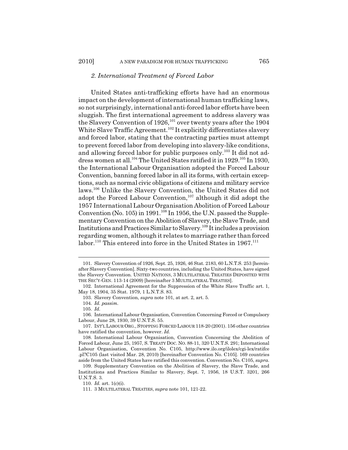#### *2. International Treatment of Forced Labor*

United States anti-trafficking efforts have had an enormous impact on the development of international human trafficking laws, so not surprisingly, international anti-forced labor efforts have been sluggish. The first international agreement to address slavery was the Slavery Convention of 1926,<sup>101</sup> over twenty years after the 1904 White Slave Traffic Agreement.<sup>102</sup> It explicitly differentiates slavery and forced labor, stating that the contracting parties must attempt to prevent forced labor from developing into slavery-like conditions, and allowing forced labor for public purposes only.<sup>103</sup> It did not address women at all.<sup>104</sup> The United States ratified it in 1929.<sup>105</sup> In 1930, the International Labour Organisation adopted the Forced Labour Convention, banning forced labor in all its forms, with certain exceptions, such as normal civic obligations of citizens and military service laws.106 Unlike the Slavery Convention, the United States did not adopt the Forced Labour Convention,<sup>107</sup> although it did adopt the 1957 International Labour Organisation Abolition of Forced Labour Convention (No. 105) in 1991.<sup>108</sup> In 1956, the U.N. passed the Supplementary Convention on the Abolition of Slavery, the Slave Trade, and Institutions and Practices Similar to Slavery.109 It includes a provision regarding women, although it relates to marriage rather than forced labor.<sup>110</sup> This entered into force in the United States in 1967.<sup>111</sup>

110. *Id.* art. 1(c)(i).

<sup>101.</sup> Slavery Convention of 1926, Sept. 25, 1926, 46 Stat. 2183, 60 L.N.T.S. 253 [hereinafter Slavery Convention]. Sixty-two countries, including the United States, have signed the Slavery Convention. UNITED NATIONS, 3 MULTILATERAL TREATIES DEPOSITED WITH THE SEC'Y-GEN. 113-14 (2009) [hereinafter 3 MULTILATERAL TREATIES].

<sup>102.</sup> International Agreement for the Suppression of the White Slave Traffic art. 1, May 18, 1904, 35 Stat. 1979, 1 L.N.T.S. 83.

<sup>103.</sup> Slavery Convention, *supra* note 101, at art. 2, art. 5.

<sup>104.</sup> *Id. passim.*

<sup>105.</sup> *Id.*

<sup>106.</sup> International Labour Organisation, Convention Concerning Forced or Compulsory Labour, June 28, 1930, 39 U.N.T.S. 55.

<sup>107.</sup> INT'L LABOUR ORG.,STOPPING FORCED LABOUR 118-20 (2001). 156 other countries have ratified the convention, however. *Id.*

<sup>108.</sup> International Labour Organisation, Convention Concerning the Abolition of Forced Labour, June 25, 1957, S. TREATY DOC. NO. 88-11, 320 U.N.T.S. 291; International Labour Organisation, Convention No. C105, http://www.ilo.org/ilolex/cgi-lex/ratifce .pl?C105 (last visited Mar. 28, 2010) [hereinafter Convention No. C105]. 169 countries aside from the United States have ratified this convention. Convention No. C105, *supra*.

<sup>109.</sup> Supplementary Convention on the Abolition of Slavery, the Slave Trade, and Institutions and Practices Similar to Slavery, Sept. 7, 1956, 18 U.S.T. 3201, 266 U.N.T.S. 3.

<sup>111. 3</sup> MULTILATERAL TREATIES, *supra* note 101, 121-22.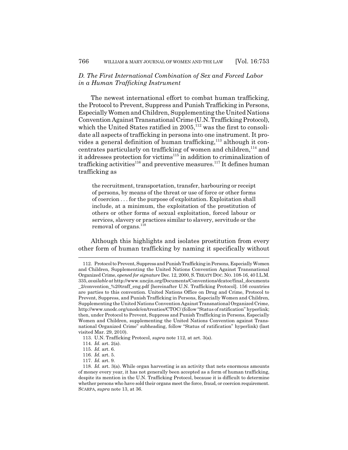# *D. The First International Combination of Sex and Forced Labor in a Human Trafficking Instrument*

The newest international effort to combat human trafficking, the Protocol to Prevent, Suppress and Punish Trafficking in Persons, Especially Women and Children, Supplementing the United Nations Convention Against Transnational Crime (U.N. Trafficking Protocol), which the United States ratified in  $2005$ ,<sup>112</sup> was the first to consolidate all aspects of trafficking in persons into one instrument. It provides a general definition of human trafficking, $113$  although it concentrates particularly on trafficking of women and children, $114$  and it addresses protection for victims<sup>115</sup> in addition to criminalization of trafficking activities<sup>116</sup> and preventive measures.<sup>117</sup> It defines human trafficking as

the recruitment, transportation, transfer, harbouring or receipt of persons, by means of the threat or use of force or other forms of coercion . . . for the purpose of exploitation. Exploitation shall include, at a minimum, the exploitation of the prostitution of others or other forms of sexual exploitation, forced labour or services, slavery or practices similar to slavery, servitude or the removal of organs.<sup>118</sup>

Although this highlights and isolates prostitution from every other form of human trafficking by naming it specifically without

<sup>112.</sup> Protocol to Prevent, Suppress and Punish Trafficking in Persons, Especially Women and Children, Supplementing the United Nations Convention Against Transnational Organized Crime, *opened for signature* Dec. 12, 2000, S.TREATY DOC. NO. 108-16, 40 I.L.M. 335, *available at* http://www.uncjin.org/Documents/Conventions/dcatoc/final\_documents \_2/convention\_%20traff\_eng.pdf [hereinafter U.N. Trafficking Protocol]. 156 countries are parties to this convention. United Nations Office on Drug and Crime, Protocol to Prevent, Suppress, and Punish Trafficking in Persons, Especially Women and Children, Supplementing the United Nations Convention Against Transnational Organized Crime, http://www.unodc.org/unodc/en/treaties/CTOC/ (follow "Status of ratification" hyperlink; then, under Protocol to Prevent, Suppress and Punish Trafficking in Persons, Especially Women and Children, supplementing the United Nations Convention against Transnational Organized Crime" subheading, follow "Status of ratification" hyperlink) (last visited Mar. 29, 2010).

<sup>113.</sup> U.N. Trafficking Protocol, *supra* note 112, at art. 3(a).

<sup>114.</sup> *Id.* art. 2(a).

<sup>115.</sup> *Id.* art. 6.

<sup>116.</sup> *Id.* art. 5.

<sup>117.</sup> *Id.* art. 9.

<sup>118.</sup> *Id.* art. 3(a). While organ harvesting is an activity that nets enormous amounts of money every year, it has not generally been accepted as a form of human trafficking, despite its mention in the U.N. Trafficking Protocol, because it is difficult to determine whether persons who have sold their organs meet the force, fraud, or coercion requirement. SCARPA, *supra* note 13, at 36.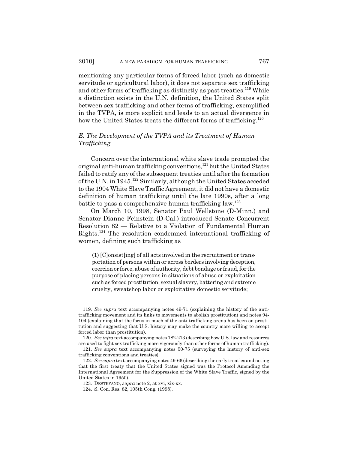mentioning any particular forms of forced labor (such as domestic servitude or agricultural labor), it does not separate sex trafficking and other forms of trafficking as distinctly as past treaties.<sup>119</sup> While a distinction exists in the U.N. definition, the United States split between sex trafficking and other forms of trafficking, exemplified in the TVPA, is more explicit and leads to an actual divergence in how the United States treats the different forms of trafficking.<sup>120</sup>

# *E. The Development of the TVPA and its Treatment of Human Trafficking*

Concern over the international white slave trade prompted the original anti-human trafficking conventions,<sup>121</sup> but the United States failed to ratify any of the subsequent treaties until after the formation of the U.N. in 1945.<sup>122</sup> Similarly, although the United States acceded to the 1904 White Slave Traffic Agreement, it did not have a domestic definition of human trafficking until the late 1990s, after a long battle to pass a comprehensive human trafficking  $law$ <sup>123</sup>

On March 10, 1998, Senator Paul Wellstone (D-Minn.) and Senator Dianne Feinstein (D-Cal.) introduced Senate Concurrent Resolution 82 — Relative to a Violation of Fundamental Human Rights.124 The resolution condemned international trafficking of women, defining such trafficking as

(1) [C]onsist[ing] of all acts involved in the recruitment or transportation of persons within or across borders involving deception, coercion or force, abuse of authority, debt bondage or fraud, for the purpose of placing persons in situations of abuse or exploitation such as forced prostitution, sexual slavery, battering and extreme cruelty, sweatshop labor or exploitative domestic servitude;

<sup>119.</sup> *See supra* text accompanying notes 49-71 (explaining the history of the antitrafficking movement and its links to movements to abolish prostitution) and notes 94- 104 (explaining that the focus in much of the anti-trafficking arena has been on prostitution and suggesting that U.S. history may make the country more willing to accept forced labor than prostitution).

<sup>120.</sup> *See infra* text accompanying notes 182-213 (describing how U.S. law and resources are used to fight sex trafficking more vigorously than other forms of human trafficking).

<sup>121.</sup> *See supra* text accompanying notes 50-75 (surveying the history of anti-sex trafficking conventions and treaties).

<sup>122.</sup> *See supra* text accompanying notes 49-66 (describing the early treaties and noting that the first treaty that the United States signed was the Protocol Amending the International Agreement for the Suppression of the White Slave Traffic, signed by the United States in 1950).

<sup>123.</sup> DESTEFANO, *supra* note 2, at xvi, xix-xx.

<sup>124.</sup> S. Con. Res. 82, 105th Cong. (1998).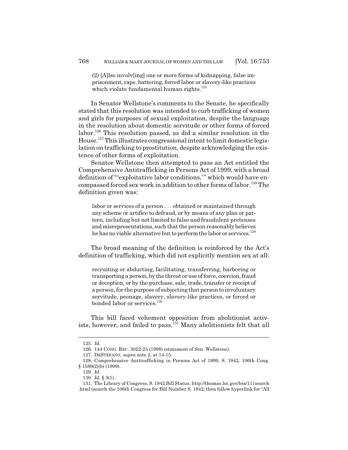(2) [A]lso involv[ing] one or more forms of kidnapping, false imprisonment, rape, battering, forced labor or slavery-like practices which violate fundamental human rights. $125$ 

In Senator Wellstone's comments to the Senate, he specifically stated that this resolution was intended to curb trafficking of women and girls for purposes of sexual exploitation, despite the language in the resolution about domestic servitude or other forms of forced labor.<sup>126</sup> This resolution passed, as did a similar resolution in the House.127 This illustrates congressional intent to limit domestic legislation on trafficking to prostitution, despite acknowledging the existence of other forms of exploitation.

Senator Wellstone then attempted to pass an Act entitled the Comprehensive Antitrafficking in Persons Act of 1999, with a broad definition of "'exploitative labor conditions,'" which would have encompassed forced sex work in addition to other forms of labor.<sup>128</sup> The definition given was:

labor or services of a person . . . obtained or maintained through any scheme or artifice to defraud, or by means of any plan or pattern, including but not limited to false and fraudulent pretenses and misrepresentations, such that the person reasonably believes he has no viable alternative but to perform the labor or services.<sup>129</sup>

The broad meaning of the definition is reinforced by the Act's definition of trafficking, which did not explicitly mention sex at all:

recruiting or abducting, facilitating, transferring, harboring or transporting a person, by the threat or use of force, coercion, fraud or deception, or by the purchase, sale, trade, transfer or receipt of a person, for the purpose of subjecting that person to involuntary servitude, peonage, slavery, slavery-like practices, or forced or bonded labor or services.<sup>130</sup>

This bill faced vehement opposition from abolitionist activists, however, and failed to pass.<sup>131</sup> Many abolitionists felt that all

<sup>125.</sup> *Id.*

<sup>126. 144</sup> CONG. REC. 3022-23 (1998) (statement of Sen. Wellstone).

<sup>127.</sup> DESTEFANO, *supra* note 2, at 14-15.

<sup>128.</sup> Comprehensive Antitrafficking in Persons Act of 1999, S. 1842, 106th Cong. § 1589(2)(b) (1999).

<sup>129.</sup> *Id.*

<sup>130.</sup> *Id.* § 3(1).

<sup>131.</sup> The Library of Congress, S. 1842 Bill Status, http://thomas.loc.gov/bss/111search .html (search the 106th Congress for Bill Number S. 1842; then follow hyperlink for "All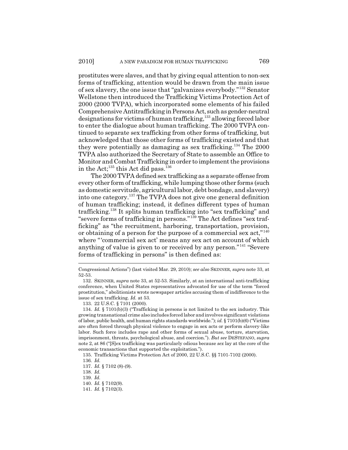prostitutes were slaves, and that by giving equal attention to non-sex forms of trafficking, attention would be drawn from the main issue of sex slavery, the one issue that "galvanizes everybody."132 Senator Wellstone then introduced the Trafficking Victims Protection Act of 2000 (2000 TVPA), which incorporated some elements of his failed Comprehensive Antitrafficking in Persons Act, such as gender-neutral designations for victims of human trafficking,<sup>133</sup> allowing forced labor to enter the dialogue about human trafficking. The 2000 TVPA continued to separate sex trafficking from other forms of trafficking, but acknowledged that those other forms of trafficking existed and that they were potentially as damaging as sex trafficking.134 The 2000 TVPA also authorized the Secretary of State to assemble an Office to Monitor and Combat Trafficking in order to implement the provisions in the Act;<sup>135</sup> this Act did pass.<sup>136</sup>

The 2000 TVPA defined sex trafficking as a separate offense from every other form of trafficking, while lumping those other forms (such as domestic servitude, agricultural labor, debt bondage, and slavery) into one category.137 The TVPA does not give one general definition of human trafficking; instead, it defines different types of human trafficking.138 It splits human trafficking into "sex trafficking" and "severe forms of trafficking in persons."139 The Act defines "sex trafficking" as "the recruitment, harboring, transportation, provision, or obtaining of a person for the purpose of a commercial sex act,"<sup>140</sup> where "'commercial sex act' means any sex act on account of which anything of value is given to or received by any person."141 "Severe forms of trafficking in persons" is then defined as:

Congressional Actions") (last visited Mar. 29, 2010); *see also* SKINNER, *supra* note 33, at 52-53.

<sup>132.</sup> SKINNER, *supra* note 33, at 52-53. Similarly, at an international anti-trafficking conference, when United States representatives advocated for use of the term "forced prostitution," abolitionists wrote newspaper articles accusing them of indifference to the issue of sex trafficking. *Id.* at 53.

<sup>133. 22</sup> U.S.C. § 7101 (2000).

<sup>134.</sup> *Id.* § 7101(b)(3) ("Trafficking in persons is not limited to the sex industry. This growing transnational crime also includes forced labor and involves significant violations of labor, public health, and human rights standards worldwide."); *id.* § 7101(b)(6) ("Victims are often forced through physical violence to engage in sex acts or perform slavery-like labor. Such force includes rape and other forms of sexual abuse, torture, starvation, imprisonment, threats, psychological abuse, and coercion."). *But see* DESTEFANO, *supra* note 2, at 86 ("[S]ex trafficking was particularly odious because *sex* lay at the core of the economic transactions that supported the exploitation.").

<sup>135.</sup> Trafficking Victims Protection Act of 2000, 22 U.S.C. §§ 7101-7102 (2000).

<sup>136.</sup> *Id.*

<sup>137.</sup> *Id.* § 7102 (8)-(9).

<sup>138.</sup> *Id.*

<sup>139.</sup> *Id.*

<sup>140.</sup> *Id.* § 7102(9).

<sup>141.</sup> *Id.* § 7102(3).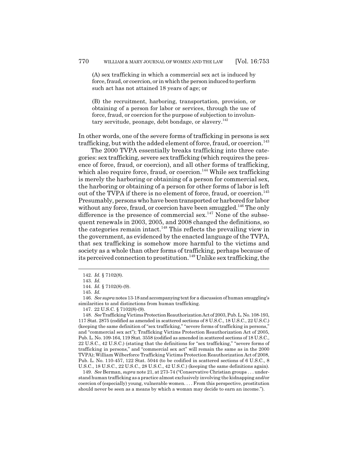(A) sex trafficking in which a commercial sex act is induced by force, fraud, or coercion, or in which the person induced to perform such act has not attained 18 years of age; or

(B) the recruitment, harboring, transportation, provision, or obtaining of a person for labor or services, through the use of force, fraud, or coercion for the purpose of subjection to involuntary servitude, peonage, debt bondage, or slavery.<sup>142</sup>

In other words, one of the severe forms of trafficking in persons is sex trafficking, but with the added element of force, fraud, or coercion.<sup>143</sup>

The 2000 TVPA essentially breaks trafficking into three categories: sex trafficking, severe sex trafficking (which requires the presence of force, fraud, or coercion), and all other forms of trafficking, which also require force, fraud, or coercion.<sup>144</sup> While sex trafficking is merely the harboring or obtaining of a person for commercial sex, the harboring or obtaining of a person for other forms of labor is left out of the TVPA if there is no element of force, fraud, or coercion.<sup>145</sup> Presumably, persons who have been transported or harbored for labor without any force, fraud, or coercion have been smuggled.<sup>146</sup> The only difference is the presence of commercial sex.<sup>147</sup> None of the subsequent renewals in 2003, 2005, and 2008 changed the definitions, so the categories remain intact.<sup>148</sup> This reflects the prevailing view in the government, as evidenced by the enacted language of the TVPA, that sex trafficking is somehow more harmful to the victims and society as a whole than other forms of trafficking, perhaps because of its perceived connection to prostitution.149 Unlike sex trafficking, the

149. *See* Berman, *supra* note 21, at 273-74 ("Conservative Christian groups . . . understand human trafficking as a practice almost exclusively involving the kidnapping and/or coercion of (especially) young, vulnerable women. . . . From this perspective, prostitution should never be seen as a means by which a woman may decide to earn an income.").

<sup>142.</sup> *Id.* § 7102(8).

<sup>143.</sup> *Id.*

<sup>144.</sup> *Id.* § 7102(8)-(9).

<sup>145.</sup> *Id.*

<sup>146.</sup> *See supra* notes 13-18 and accompanying text for a discussion of human smuggling's similarities to and distinctions from human trafficking.

<sup>147. 22</sup> U.S.C. § 7102(8)-(9).

<sup>148.</sup> *See* Trafficking Victims Protection Reauthorization Act of 2003, Pub. L. No. 108-193, 117 Stat. 2875 (codified as amended in scattered sections of 8 U.S.C., 18 U.S.C., 22 U.S.C.) (keeping the same definition of "sex trafficking," "severe forms of trafficking in persons," and "commercial sex act"); Trafficking Victims Protection Reauthorization Act of 2005, Pub. L. No. 109-164, 119 Stat. 3558 (codified as amended in scattered sections of 18 U.S.C., 22 U.S.C., 42 U.S.C.) (stating that the definitions for "sex trafficking," "severe forms of trafficking in persons," and "commercial sex act" will remain the same as in the 2000 TVPA); William Wilberforce Trafficking Victims Protection Reauthorization Act of 2008, Pub. L. No. 110-457, 122 Stat. 5044 (to be codified in scattered sections of 6 U.S.C., 8 U.S.C., 18 U.S.C., 22 U.S.C., 28 U.S.C., 42 U.S.C.) (keeping the same definitions again).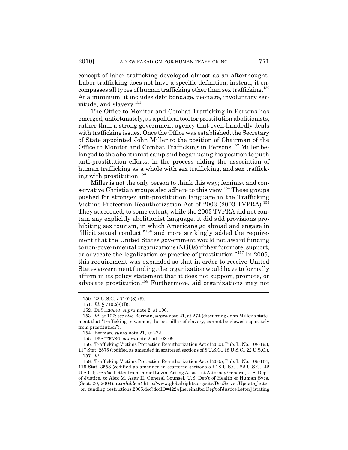concept of labor trafficking developed almost as an afterthought. Labor trafficking does not have a specific definition; instead, it encompasses all types of human trafficking other than sex trafficking.150 At a minimum, it includes debt bondage, peonage, involuntary servitude, and slavery.<sup>151</sup>

The Office to Monitor and Combat Trafficking in Persons has emerged, unfortunately, as a political tool for prostitution abolitionists, rather than a strong government agency that even-handedly deals with trafficking issues. Once the Office was established, the Secretary of State appointed John Miller to the position of Chairman of the Office to Monitor and Combat Trafficking in Persons.152 Miller belonged to the abolitionist camp and began using his position to push anti-prostitution efforts, in the process aiding the association of human trafficking as a whole with sex trafficking, and sex trafficking with prostitution.153

Miller is not the only person to think this way; feminist and conservative Christian groups also adhere to this view.<sup>154</sup> These groups pushed for stronger anti-prostitution language in the Trafficking Victims Protection Reauthorization Act of 2003 (2003 TVPRA).155 They succeeded, to some extent; while the 2003 TVPRA did not contain any explicitly abolitionist language, it did add provisions prohibiting sex tourism, in which Americans go abroad and engage in "illicit sexual conduct,"156 and more strikingly added the requirement that the United States government would not award funding to non-governmental organizations (NGOs) if they "promote, support, or advocate the legalization or practice of prostitution."157 In 2005, this requirement was expanded so that in order to receive United States government funding, the organization would have to formally affirm in its policy statement that it does not support, promote, or advocate prostitution.158 Furthermore, aid organizations may not

156. Trafficking Victims Protection Reauthorization Act of 2003, Pub. L. No. 108-193, 117 Stat. 2875 (codified as amended in scattered sections of 8 U.S.C., 18 U.S.C., 22 U.S.C.). 157. *Id.*

<sup>150. 22</sup> U.S.C. § 7102(8)-(9).

<sup>151.</sup> *Id.* § 7102(8)(B).

<sup>152.</sup> DESTEFANO, *supra* note 2, at 106.

<sup>153.</sup> *Id.* at 107; s*ee also* Berman, *supra* note 21, at 274 (discussing John Miller's statement that "trafficking in women, the sex pillar of slavery, cannot be viewed separately from prostitution").

<sup>154.</sup> Berman, *supra* note 21, at 272.

<sup>155.</sup> DESTEFANO, *supra* note 2, at 108-09.

<sup>158.</sup> Trafficking Victims Protection Reauthorization Act of 2005, Pub. L. No. 109-164, 119 Stat. 3558 (codified as amended in scattered sections o f 18 U.S.C., 22 U.S.C., 42 U.S.C.); *see also* Letter from Daniel Levin, Acting Assistant Attorney General, U.S. Dep't of Justice, to Alex M. Azar II, General Counsel, U.S. Dep't of Health & Human Svcs. (Sept. 20, 2004), *available at* http://www.globalrights.org/site/DocServer/Update\_letter \_on\_funding\_restrictions.2005.doc?docID=4224 [hereinafter Dep't of Justice Letter] (stating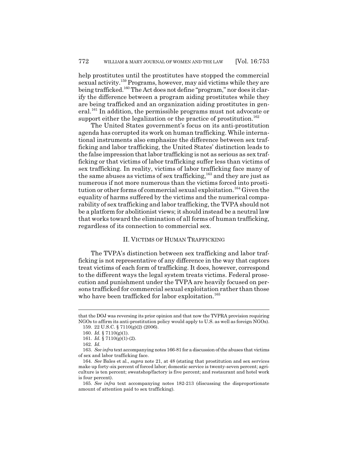help prostitutes until the prostitutes have stopped the commercial sexual activity.159 Programs, however, may aid victims while they are being trafficked.<sup>160</sup> The Act does not define "program," nor does it clarify the difference between a program aiding prostitutes while they are being trafficked and an organization aiding prostitutes in general.161 In addition, the permissible programs must not advocate or support either the legalization or the practice of prostitution.<sup>162</sup>

The United States government's focus on its anti-prostitution agenda has corrupted its work on human trafficking. While international instruments also emphasize the difference between sex trafficking and labor trafficking, the United States' distinction leads to the false impression that labor trafficking is not as serious as sex trafficking or that victims of labor trafficking suffer less than victims of sex trafficking. In reality, victims of labor trafficking face many of the same abuses as victims of sex trafficking,<sup>163</sup> and they are just as numerous if not more numerous than the victims forced into prostitution or other forms of commercial sexual exploitation.<sup>164</sup> Given the equality of harms suffered by the victims and the numerical comparability of sex trafficking and labor trafficking, the TVPA should not be a platform for abolitionist views; it should instead be a neutral law that works toward the elimination of all forms of human trafficking, regardless of its connection to commercial sex.

#### II. VICTIMS OF HUMAN TRAFFICKING

The TVPA's distinction between sex trafficking and labor trafficking is not representative of any difference in the way that captors treat victims of each form of trafficking. It does, however, correspond to the different ways the legal system treats victims. Federal prosecution and punishment under the TVPA are heavily focused on persons trafficked for commercial sexual exploitation rather than those who have been trafficked for labor exploitation.<sup>165</sup>

that the DOJ was reversing its prior opinion and that now the TVPRA provision requiring NGOs to affirm its anti-prostitution policy would apply to U.S. as well as foreign NGOs).

<sup>159. 22</sup> U.S.C. § 7110(g)(2) (2006).

<sup>160.</sup> *Id.* § 7110(g)(1).

<sup>161.</sup> *Id.* § 7110(g)(1)-(2).

<sup>162.</sup> *Id.*

<sup>163.</sup> *See infra* text accompanying notes 166-81 for a discussion of the abuses that victims of sex and labor trafficking face.

<sup>164.</sup> *See* Bales et al., *supra* note 21, at 48 (stating that prostitution and sex services make up forty-six percent of forced labor; domestic service is twenty-seven percent; agriculture is ten percent; sweatshop/factory is five percent; and restaurant and hotel work is four percent).

<sup>165.</sup> *See infra* text accompanying notes 182-213 (discussing the disproportionate amount of attention paid to sex trafficking).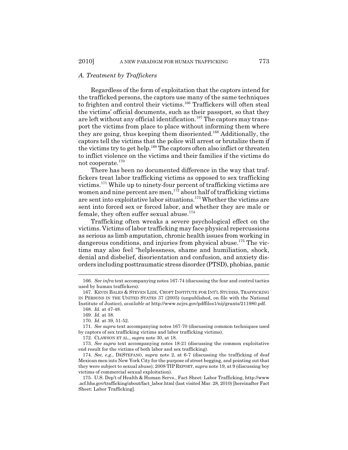#### *A. Treatment by Traffickers*

Regardless of the form of exploitation that the captors intend for the trafficked persons, the captors use many of the same techniques to frighten and control their victims.<sup>166</sup> Traffickers will often steal the victims' official documents, such as their passport, so that they are left without any official identification.<sup>167</sup> The captors may transport the victims from place to place without informing them where they are going, thus keeping them disoriented.168 Additionally, the captors tell the victims that the police will arrest or brutalize them if the victims try to get help.<sup>169</sup> The captors often also inflict or threaten to inflict violence on the victims and their families if the victims do not cooperate.170

There has been no documented difference in the way that traffickers treat labor trafficking victims as opposed to sex trafficking victims.171 While up to ninety-four percent of trafficking victims are women and nine percent are men,<sup>172</sup> about half of trafficking victims are sent into exploitative labor situations.173 Whether the victims are sent into forced sex or forced labor, and whether they are male or female, they often suffer sexual abuse. $174$ 

Trafficking often wreaks a severe psychological effect on the victims. Victims of labor trafficking may face physical repercussions as serious as limb amputation, chronic health issues from working in dangerous conditions, and injuries from physical abuse.<sup>175</sup> The victims may also feel "helplessness, shame and humiliation, shock, denial and disbelief, disorientation and confusion, and anxiety disorders including posttraumatic stress disorder (PTSD), phobias, panic

<sup>166.</sup> *See infra* text accompanying notes 167-74 (discussing the fear and control tactics used by human traffickers).

<sup>167.</sup> KEVIN BALES & STEVEN LIZE, CROFT INSTITUTE FOR INT'L STUDIES, TRAFFICKING IN PERSONS IN THE UNITED STATES 37 (2005) (unpublished, on file with the National Institute of Justice), *available at* http://www.ncjrs.gov/pdffiles1/nij/grants/211980.pdf.

<sup>168.</sup> *Id.* at 47-48.

<sup>169.</sup> *Id.* at 38.

<sup>170.</sup> *Id.* at 39, 51-52.

<sup>171.</sup> *See supra* text accompanying notes 167-70 (discussing common techniques used by captors of sex trafficking victims and labor trafficking victims).

<sup>172.</sup> CLAWSON ET AL., *supra* note 30, at 18.

<sup>173.</sup> *See supra* text accompanying notes 18-21 (discussing the common exploitative end result for the victims of both labor and sex trafficking).

<sup>174.</sup> *See, e.g.*, DESTEFANO, *supra* note 2, at 6-7 (discussing the trafficking of deaf Mexican men into New York City for the purpose of street begging, and pointing out that they were subject to sexual abuse); 2008 TIP REPORT, *supra* note 19, at 9 (discussing boy victims of commercial sexual exploitation).

<sup>175.</sup> U.S. Dep't of Health & Human Servs., Fact Sheet: Labor Trafficking, http://www .acf.hhs.gov/trafficking/about/fact\_labor.html (last visited Mar. 28, 2010) [hereinafter Fact Sheet: Labor Trafficking].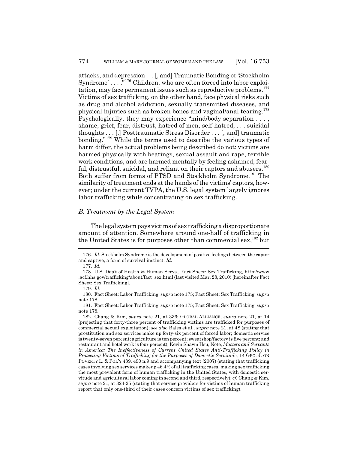attacks, and depression . . . [, and] Traumatic Bonding or 'Stockholm Syndrome' . . . .<sup>"176</sup> Children, who are often forced into labor exploitation, may face permanent issues such as reproductive problems. $177$ Victims of sex trafficking, on the other hand, face physical risks such as drug and alcohol addiction, sexually transmitted diseases, and physical injuries such as broken bones and vaginal/anal tearing.178 Psychologically, they may experience "mind/body separation . . . , shame, grief, fear, distrust, hatred of men, self-hatred, . . . suicidal thoughts . . . [,] Posttraumatic Stress Disorder . . . [, and] traumatic bonding."179 While the terms used to describe the various types of harm differ, the actual problems being described do not: victims are harmed physically with beatings, sexual assault and rape, terrible work conditions, and are harmed mentally by feeling ashamed, fearful, distrustful, suicidal, and reliant on their captors and abusers.<sup>180</sup> Both suffer from forms of PTSD and Stockholm Syndrome.181 The similarity of treatment ends at the hands of the victims' captors, however; under the current TVPA, the U.S. legal system largely ignores labor trafficking while concentrating on sex trafficking.

#### *B. Treatment by the Legal System*

The legal system pays victims of sex trafficking a disproportionate amount of attention. Somewhere around one-half of trafficking in the United States is for purposes other than commercial sex,<sup>182</sup> but

<sup>176.</sup> *Id.* Stockholm Syndrome is the development of positive feelings between the captor and captive, a form of survival instinct. *Id.*

<sup>177.</sup> *Id.*

<sup>178.</sup> U.S. Dep't of Health & Human Servs., Fact Sheet: Sex Trafficking, http://www .acf.hhs.gov/trafficking/about/fact\_sex.html (last visited Mar. 28, 2010) [hereinafter Fact Sheet: Sex Trafficking].

<sup>179.</sup> *Id.*

<sup>180.</sup> Fact Sheet: Labor Trafficking, *supra* note 175; Fact Sheet: Sex Trafficking, *supra* note 178.

<sup>181.</sup> Fact Sheet: Labor Trafficking, *supra* note 175; Fact Sheet: Sex Trafficking, *supra* note 178.

<sup>182.</sup> Chang & Kim, *supra* note 21, at 336; GLOBAL ALLIANCE, *supra* note 21, at 14 (projecting that forty-three percent of trafficking victims are trafficked for purposes of commercial sexual exploitation); *see also* Bales et al., *supra* note 21, at 48 (stating that prostitution and sex services make up forty-six percent of forced labor; domestic service is twenty-seven percent; agriculture is ten percent; sweatshop/factory is five percent; and restaurant and hotel work is four percent); Kevin Shawn Hsu, Note, *Masters and Servants in America: The Ineffectiveness of Current United States Anti-Trafficking Policy in Protecting Victims of Trafficking for the Purposes of Domestic Servitude*, 14 GEO. J. ON POVERTY L. & POL'Y 489, 490 n.9 and accompanying text (2007) (stating that trafficking cases involving sex services makeup 46.4% of all trafficking cases, making sex trafficking the most prevalent form of human trafficking in the United States, with domestic servitude and agricultural labor coming in second and third, respectively); *cf.* Chang & Kim, *supra* note 21, at 324-25 (stating that service providers for victims of human trafficking report that only one-third of their cases concern victims of sex trafficking).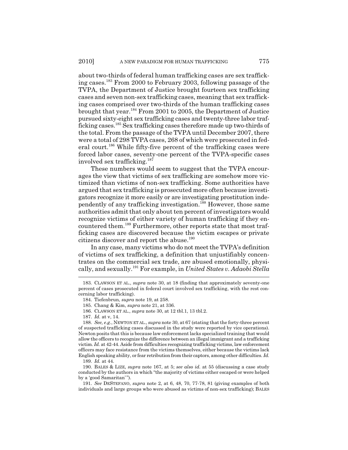about two-thirds of federal human trafficking cases are sex trafficking cases.183 From 2000 to February 2003, following passage of the TVPA, the Department of Justice brought fourteen sex trafficking cases and seven non-sex trafficking cases, meaning that sex trafficking cases comprised over two-thirds of the human trafficking cases brought that year.184 From 2001 to 2005, the Department of Justice pursued sixty-eight sex trafficking cases and twenty-three labor trafficking cases.185 Sex trafficking cases therefore made up two-thirds of the total. From the passage of the TVPA until December 2007, there were a total of 298 TVPA cases, 268 of which were prosecuted in federal court.<sup>186</sup> While fifty-five percent of the trafficking cases were forced labor cases, seventy-one percent of the TVPA-specific cases involved sex trafficking.<sup>187</sup>

These numbers would seem to suggest that the TVPA encourages the view that victims of sex trafficking are somehow more victimized than victims of non-sex trafficking. Some authorities have argued that sex trafficking is prosecuted more often because investigators recognize it more easily or are investigating prostitution independently of any trafficking investigation.188 However, those same authorities admit that only about ten percent of investigators would recognize victims of either variety of human trafficking if they encountered them.189 Furthermore, other reports state that most trafficking cases are discovered because the victim escapes or private citizens discover and report the abuse.<sup>190</sup>

In any case, many victims who do not meet the TVPA's definition of victims of sex trafficking, a definition that unjustifiably concentrates on the commercial sex trade, are abused emotionally, physically, and sexually.191 For example, in *United States v. Adaobi Stella*

<sup>183.</sup> CLAWSON ET AL., *supra* note 30, at 18 (finding that approximately seventy-one percent of cases prosecuted in federal court involved sex trafficking, with the rest concerning labor trafficking).

<sup>184.</sup> Tiefenbrun, *supra* note 19, at 258.

<sup>185.</sup> Chang & Kim, *supra* note 21, at 336.

<sup>186.</sup> CLAWSON ET AL., *supra* note 30, at 12 tbl.1, 13 tbl.2.

<sup>187.</sup> *Id.* at v, 14.

<sup>188.</sup> *See, e.g.*, NEWTON ET AL., *supra* note 30, at 67 (stating that the forty-three percent of suspected trafficking cases discussed in the study were reported by vice operations). Newton posits that this is because law enforcement lacks specialized training that would allow the officers to recognize the difference between an illegal immigrant and a trafficking victim. *Id.* at 42-44. Aside from difficulties recognizing trafficking victims, law enforcement officers may face resistance from the victims themselves, either because the victims lack English speaking ability, or fear retribution from their captors, among other difficulties. *Id.* 189. *Id.* at 44.

<sup>190.</sup> BALES & LIZE, *supra* note 167, at 5; *see also id.* at 55 (discussing a case study conducted by the authors in which "the majority of victims either escaped or were helped by a 'good Samaritan'").

<sup>191.</sup> *See* DESTEFANO, *supra* note 2, at 6, 48, 70, 77-78, 81 (giving examples of both individuals and large groups who were abused as victims of non-sex trafficking); BALES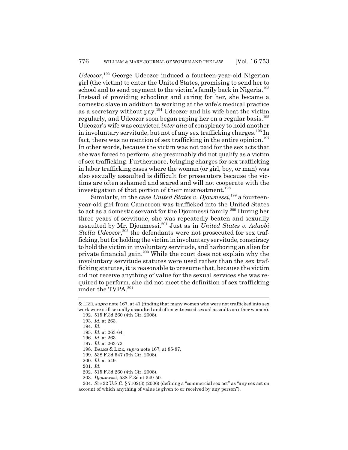*Udeozor*, 192 George Udeozor induced a fourteen-year-old Nigerian girl (the victim) to enter the United States, promising to send her to school and to send payment to the victim's family back in Nigeria.<sup>193</sup> Instead of providing schooling and caring for her, she became a domestic slave in addition to working at the wife's medical practice as a secretary without pay.194 Udeozor and his wife beat the victim regularly, and Udeozor soon began raping her on a regular basis.<sup>195</sup> Udeozor's wife was convicted *inter alia* of conspiracy to hold another in involuntary servitude, but not of any sex trafficking charges.<sup>196</sup> In fact, there was no mention of sex trafficking in the entire opinion.<sup>197</sup> In other words, because the victim was not paid for the sex acts that she was forced to perform, she presumably did not qualify as a victim of sex trafficking. Furthermore, bringing charges for sex trafficking in labor trafficking cases where the woman (or girl, boy, or man) was also sexually assaulted is difficult for prosecutors because the victims are often ashamed and scared and will not cooperate with the investigation of that portion of their mistreatment.<sup>198</sup>

Similarly, in the case *United States v. Djoumessi*,<sup>199</sup> a fourteenyear-old girl from Cameroon was trafficked into the United States to act as a domestic servant for the Djoumessi family.200 During her three years of servitude, she was repeatedly beaten and sexually assaulted by Mr. Djoumessi.201 Just as in *United States v. Adaobi* Stella Udeozor,<sup>202</sup> the defendants were not prosecuted for sex trafficking, but for holding the victim in involuntary servitude, conspiracy to hold the victim in involuntary servitude, and harboring an alien for private financial gain.203 While the court does not explain why the involuntary servitude statutes were used rather than the sex trafficking statutes, it is reasonable to presume that, because the victim did not receive anything of value for the sexual services she was required to perform, she did not meet the definition of sex trafficking under the TVPA.<sup>204</sup>

<sup>&</sup>amp; LIZE, *supra* note 167, at 41 (finding that many women who were not trafficked into sex work were still sexually assaulted and often witnessed sexual assaults on other women). 192. 515 F.3d 260 (4th Cir. 2008).

<sup>193.</sup> *Id.* at 263.

<sup>194.</sup> *Id.*

<sup>195.</sup> *Id.* at 263-64.

<sup>196.</sup> *Id.* at 263.

<sup>197.</sup> *Id.* at 263-72.

<sup>198.</sup> BALES & LIZE, *supra* note 167, at 85-87.

<sup>199. 538</sup> F.3d 547 (6th Cir. 2008).

<sup>200.</sup> *Id.* at 549.

<sup>201.</sup> *Id.*

<sup>202. 515</sup> F.3d 260 (4th Cir. 2008).

<sup>203.</sup> *Djoumessi*, 538 F.3d at 549-50.

<sup>204.</sup> *See* 22 U.S.C. § 7102(3) (2006) (defining a "commercial sex act" as "any sex act on account of which anything of value is given to or received by any person").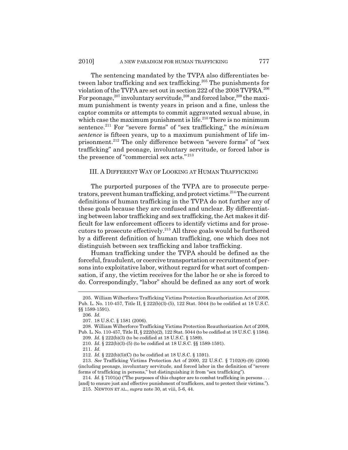The sentencing mandated by the TVPA also differentiates between labor trafficking and sex trafficking.<sup>205</sup> The punishments for violation of the TVPA are set out in section 222 of the 2008 TVPRA.206 For peonage,<sup>207</sup> involuntary servitude,<sup>208</sup> and forced labor,<sup>209</sup> the maximum punishment is twenty years in prison and a fine, unless the captor commits or attempts to commit aggravated sexual abuse, in which case the maximum punishment is life.<sup>210</sup> There is no minimum sentence.211 For "severe forms" of "sex trafficking," the *minimum sentence* is fifteen years, up to a maximum punishment of life imprisonment.<sup>212</sup> The only difference between "severe forms" of "sex trafficking" and peonage, involuntary servitude, or forced labor is the presence of "commercial sex acts." <sup>213</sup>

# III. A DIFFERENT WAY OF LOOKING AT HUMAN TRAFFICKING

The purported purposes of the TVPA are to prosecute perpetrators, prevent human trafficking, and protect victims.<sup>214</sup> The current definitions of human trafficking in the TVPA do not further any of these goals because they are confused and unclear. By differentiating between labor trafficking and sex trafficking, the Act makes it difficult for law enforcement officers to identify victims and for prosecutors to prosecute effectively.215 All three goals would be furthered by a different definition of human trafficking, one which does not distinguish between sex trafficking and labor trafficking.

Human trafficking under the TVPA should be defined as the forceful, fraudulent, or coercive transportation or recruitment of persons into exploitative labor, without regard for what sort of compensation, if any, the victim receives for the labor he or she is forced to do. Correspondingly, "labor" should be defined as any sort of work

<sup>205.</sup> William Wilberforce Trafficking Victims Protection Reauthorization Act of 2008, Pub. L. No. 110-457, Title II, § 222(b)(3)-(5), 122 Stat. 5044 (to be codified at 18 U.S.C. §§ 1589-1591).

<sup>206.</sup> *Id.*

<sup>207. 18</sup> U.S.C. § 1581 (2006).

<sup>208.</sup> William Wilberforce Trafficking Victims Protection Reauthorization Act of 2008, Pub. L. No. 110-457, Title II, § 222(b)(2), 122 Stat. 5044 (to be codified at 18 U.S.C. § 1584).

<sup>209.</sup> *Id.* § 222(b)(3) (to be codified at 18 U.S.C. § 1589).

<sup>210.</sup> *Id.* § 222(b)(3)-(5) (to be codified at 18 U.S.C. §§ 1589-1591).

<sup>211.</sup> *Id.*

<sup>212.</sup> *Id.* § 222(b)(5)(C) (to be codified at 18 U.S.C. § 1591).

<sup>213.</sup> *See* Trafficking Victims Protection Act of 2000, 22 U.S.C. § 7102(8)-(9) (2006) (including peonage, involuntary servitude, and forced labor in the definition of "severe forms of trafficking in persons," but distinguishing it from "sex trafficking").

<sup>214.</sup> *Id.* § 7101(a) ("The purposes of this chapter are to combat trafficking in persons . . . [and] to ensure just and effective punishment of traffickers, and to protect their victims.").

<sup>215.</sup> NEWTON ET AL., *supra* note 30, at viii, 5-6, 44.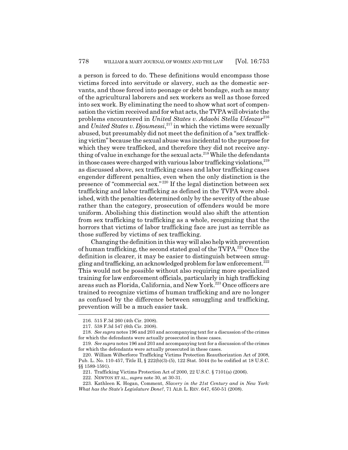a person is forced to do. These definitions would encompass those victims forced into servitude or slavery, such as the domestic servants, and those forced into peonage or debt bondage, such as many of the agricultural laborers and sex workers as well as those forced into sex work. By eliminating the need to show what sort of compensation the victim received and for what acts, the TVPA will obviate the problems encountered in *United States v. Adaobi Stella Udeozor*<sup>216</sup> and *United States v. Djoumessi*, 217 in which the victims were sexually abused, but presumably did not meet the definition of a "sex trafficking victim" because the sexual abuse was incidental to the purpose for which they were trafficked, and therefore they did not receive anything of value in exchange for the sexual acts.<sup>218</sup> While the defendants in those cases were charged with various labor trafficking violations, $^{219}$ as discussed above, sex trafficking cases and labor trafficking cases engender different penalties, even when the only distinction is the presence of "commercial sex." 220 If the legal distinction between sex trafficking and labor trafficking as defined in the TVPA were abolished, with the penalties determined only by the severity of the abuse rather than the category, prosecution of offenders would be more uniform. Abolishing this distinction would also shift the attention from sex trafficking to trafficking as a whole, recognizing that the horrors that victims of labor trafficking face are just as terrible as those suffered by victims of sex trafficking.

Changing the definition in this way will also help with prevention of human trafficking, the second stated goal of the TVPA.221 Once the definition is clearer, it may be easier to distinguish between smuggling and trafficking, an acknowledged problem for law enforcement.222 This would not be possible without also requiring more specialized training for law enforcement officials, particularly in high trafficking areas such as Florida, California, and New York.223 Once officers are trained to recognize victims of human trafficking and are no longer as confused by the difference between smuggling and trafficking, prevention will be a much easier task.

<sup>216. 515</sup> F.3d 260 (4th Cir. 2008).

<sup>217. 538</sup> F.3d 547 (6th Cir. 2008).

<sup>218.</sup> *See supra* notes 196 and 203 and accompanying text for a discussion of the crimes for which the defendants were actually prosecuted in these cases.

<sup>219.</sup> *See supra* notes 196 and 203 and accompanying text for a discussion of the crimes for which the defendants were actually prosecuted in these cases.

<sup>220.</sup> William Wilberforce Trafficking Victims Protection Reauthorization Act of 2008, Pub. L. No. 110-457, Title II, § 222(b)(3)-(5), 122 Stat. 5044 (to be codified at 18 U.S.C. §§ 1589-1591).

<sup>221.</sup> Trafficking Victims Protection Act of 2000, 22 U.S.C. § 7101(a) (2006).

<sup>222.</sup> NEWTON ET AL., *supra* note 30, at 30-31.

<sup>223.</sup> Kathleen K. Hogan, Comment, *Slavery in the 21st Century and in New York: What has the State's Legislature Done?*, 71 ALB. L. REV. 647, 650-51 (2008).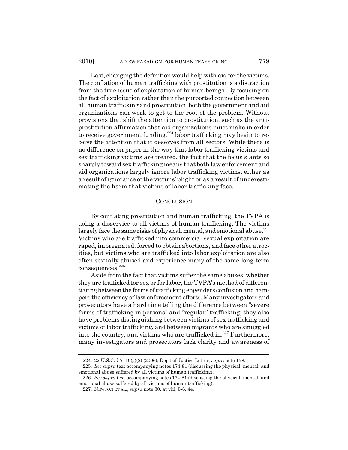Last, changing the definition would help with aid for the victims. The conflation of human trafficking with prostitution is a distraction from the true issue of exploitation of human beings. By focusing on the fact of exploitation rather than the purported connection between all human trafficking and prostitution, both the government and aid organizations can work to get to the root of the problem. Without provisions that shift the attention to prostitution, such as the antiprostitution affirmation that aid organizations must make in order to receive government funding, $224$  labor trafficking may begin to receive the attention that it deserves from all sectors. While there is no difference on paper in the way that labor trafficking victims and sex trafficking victims are treated, the fact that the focus slants so sharply toward sex trafficking means that both law enforcement and aid organizations largely ignore labor trafficking victims, either as a result of ignorance of the victims' plight or as a result of underestimating the harm that victims of labor trafficking face.

#### **CONCLUSION**

By conflating prostitution and human trafficking, the TVPA is doing a disservice to all victims of human trafficking. The victims largely face the same risks of physical, mental, and emotional abuse.<sup>225</sup> Victims who are trafficked into commercial sexual exploitation are raped, impregnated, forced to obtain abortions, and face other atrocities, but victims who are trafficked into labor exploitation are also often sexually abused and experience many of the same long-term consequences.<sup>226</sup>

Aside from the fact that victims suffer the same abuses, whether they are trafficked for sex or for labor, the TVPA's method of differentiating between the forms of trafficking engenders confusion and hampers the efficiency of law enforcement efforts. Many investigators and prosecutors have a hard time telling the difference between "severe forms of trafficking in persons" and "regular" trafficking; they also have problems distinguishing between victims of sex trafficking and victims of labor trafficking, and between migrants who are smuggled into the country, and victims who are trafficked in. $227$  Furthermore, many investigators and prosecutors lack clarity and awareness of

<sup>224. 22</sup> U.S.C. § 7110(g)(2) (2006); Dep't of Justice Letter, *supra* note 158.

<sup>225.</sup> *See supra* text accompanying notes 174-81 (discussing the physical, mental, and emotional abuse suffered by all victims of human trafficking).

<sup>226.</sup> *See supra* text accompanying notes 174-81 (discussing the physical, mental, and emotional abuse suffered by all victims of human trafficking).

<sup>227.</sup> NEWTON ET AL., *supra* note 30, at viii, 5-6, 44.